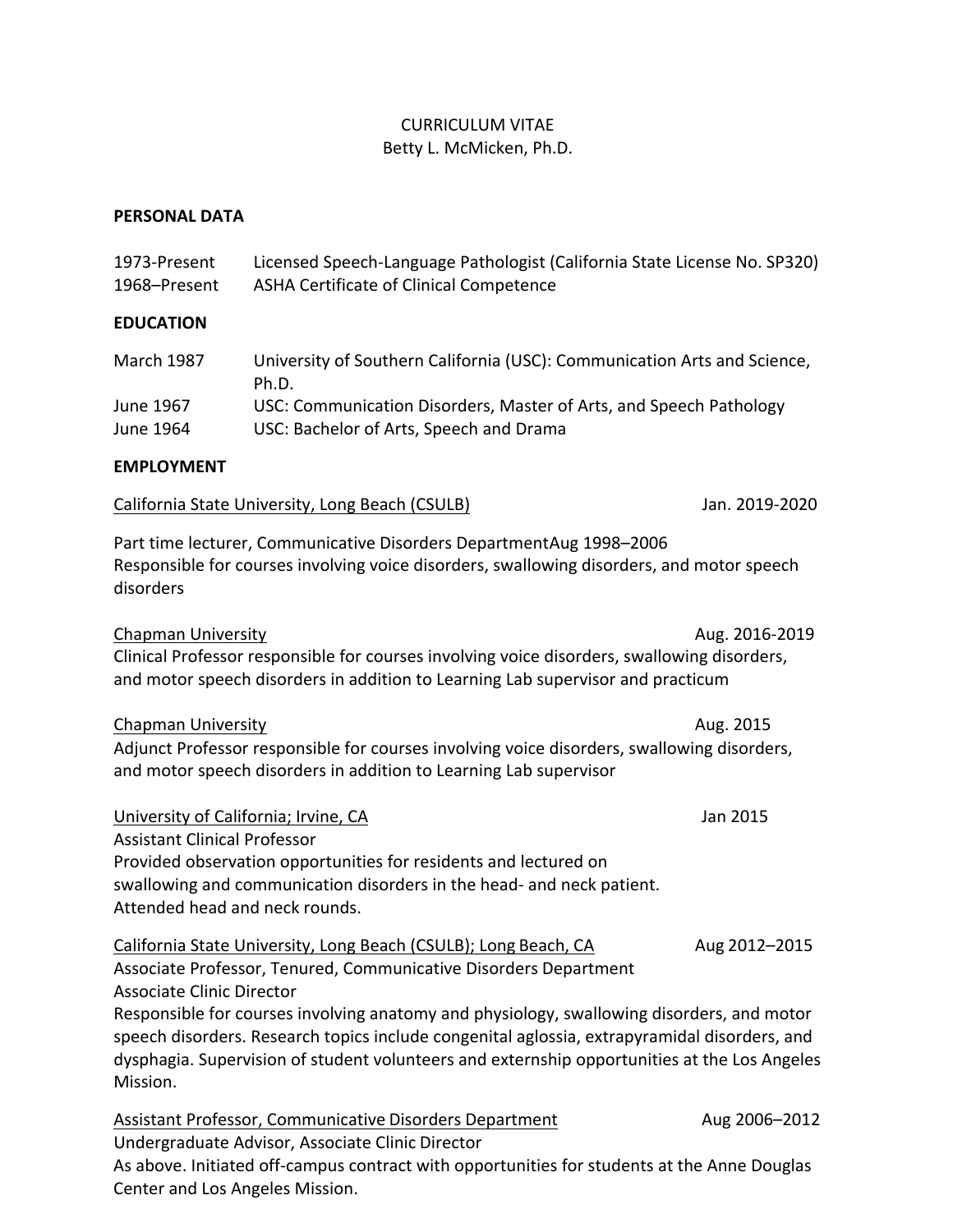#### CURRICULUM VITAE Betty L. McMicken, Ph.D.

### **PERSONAL DATA**

| 1973-Present<br>1968-Present                                                                                  | Licensed Speech-Language Pathologist (California State License No. SP320)<br>ASHA Certificate of Clinical Competence                                                                                                                                                                                                                                                                                                             |                |
|---------------------------------------------------------------------------------------------------------------|----------------------------------------------------------------------------------------------------------------------------------------------------------------------------------------------------------------------------------------------------------------------------------------------------------------------------------------------------------------------------------------------------------------------------------|----------------|
| <b>EDUCATION</b>                                                                                              |                                                                                                                                                                                                                                                                                                                                                                                                                                  |                |
| <b>March 1987</b>                                                                                             | University of Southern California (USC): Communication Arts and Science,<br>Ph.D.                                                                                                                                                                                                                                                                                                                                                |                |
| June 1967<br>June 1964                                                                                        | USC: Communication Disorders, Master of Arts, and Speech Pathology<br>USC: Bachelor of Arts, Speech and Drama                                                                                                                                                                                                                                                                                                                    |                |
| <b>EMPLOYMENT</b>                                                                                             |                                                                                                                                                                                                                                                                                                                                                                                                                                  |                |
|                                                                                                               | California State University, Long Beach (CSULB)                                                                                                                                                                                                                                                                                                                                                                                  | Jan. 2019-2020 |
| disorders                                                                                                     | Part time lecturer, Communicative Disorders DepartmentAug 1998-2006<br>Responsible for courses involving voice disorders, swallowing disorders, and motor speech                                                                                                                                                                                                                                                                 |                |
| <b>Chapman University</b>                                                                                     | Clinical Professor responsible for courses involving voice disorders, swallowing disorders,<br>and motor speech disorders in addition to Learning Lab supervisor and practicum                                                                                                                                                                                                                                                   | Aug. 2016-2019 |
| <b>Chapman University</b>                                                                                     | Adjunct Professor responsible for courses involving voice disorders, swallowing disorders,<br>and motor speech disorders in addition to Learning Lab supervisor                                                                                                                                                                                                                                                                  | Aug. 2015      |
| University of California; Irvine, CA<br><b>Assistant Clinical Professor</b><br>Attended head and neck rounds. | Provided observation opportunities for residents and lectured on<br>swallowing and communication disorders in the head- and neck patient.                                                                                                                                                                                                                                                                                        | Jan 2015       |
| <b>Associate Clinic Director</b><br>Mission.                                                                  | California State University, Long Beach (CSULB); Long Beach, CA<br>Associate Professor, Tenured, Communicative Disorders Department<br>Responsible for courses involving anatomy and physiology, swallowing disorders, and motor<br>speech disorders. Research topics include congenital aglossia, extrapyramidal disorders, and<br>dysphagia. Supervision of student volunteers and externship opportunities at the Los Angeles | Aug 2012-2015  |
|                                                                                                               | Assistant Professor, Communicative Disorders Department                                                                                                                                                                                                                                                                                                                                                                          | Aug 2006-2012  |

Undergraduate Advisor, Associate Clinic Director As above. Initiated off-campus contract with opportunities for students at the Anne Douglas Center and Los Angeles Mission.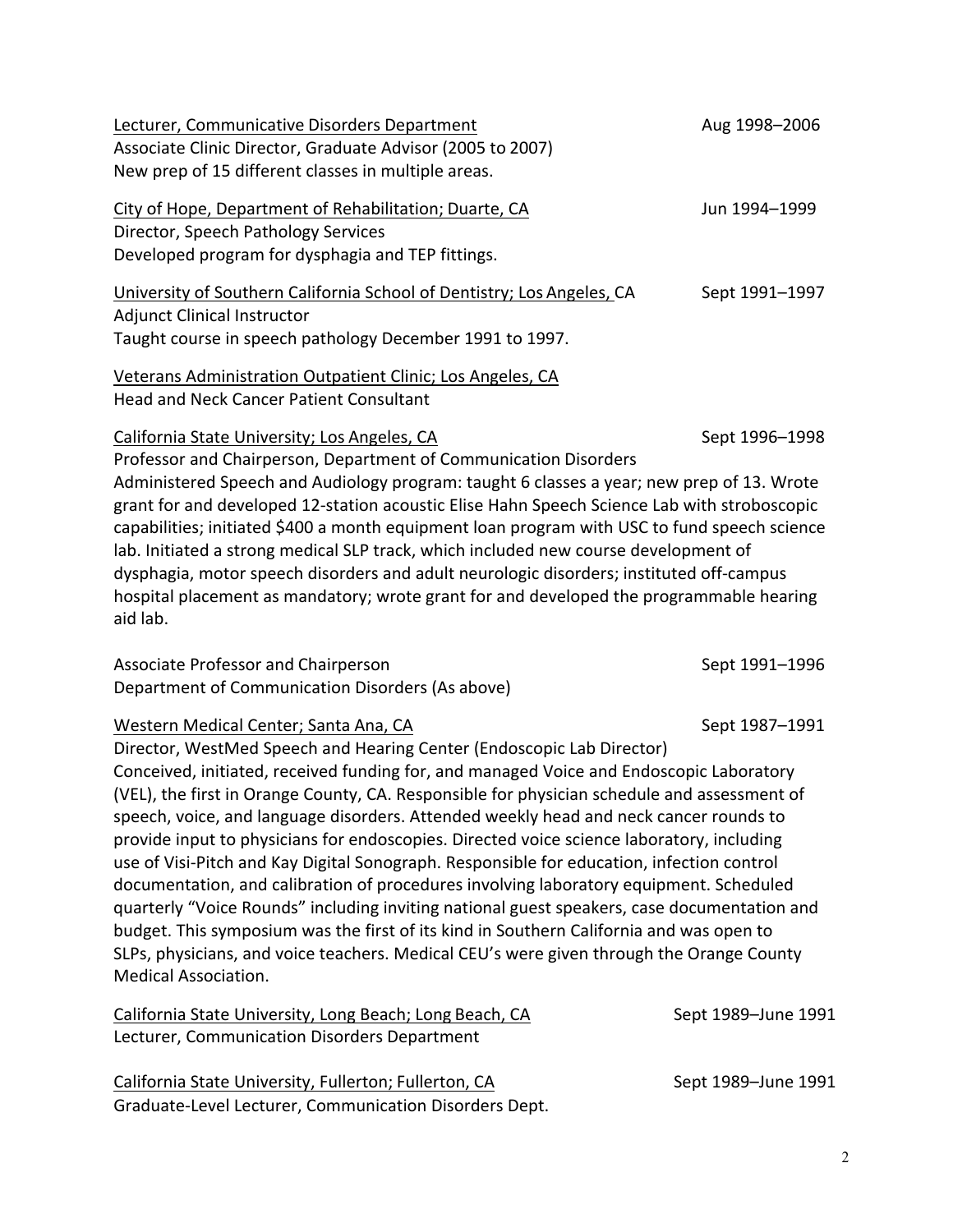| Lecturer, Communicative Disorders Department                                                                    | Aug 1998-2006       |
|-----------------------------------------------------------------------------------------------------------------|---------------------|
| Associate Clinic Director, Graduate Advisor (2005 to 2007)                                                      |                     |
| New prep of 15 different classes in multiple areas.                                                             |                     |
| City of Hope, Department of Rehabilitation; Duarte, CA                                                          | Jun 1994-1999       |
| Director, Speech Pathology Services                                                                             |                     |
| Developed program for dysphagia and TEP fittings.                                                               |                     |
| University of Southern California School of Dentistry; Los Angeles, CA                                          | Sept 1991-1997      |
| <b>Adjunct Clinical Instructor</b>                                                                              |                     |
| Taught course in speech pathology December 1991 to 1997.                                                        |                     |
|                                                                                                                 |                     |
| Veterans Administration Outpatient Clinic; Los Angeles, CA                                                      |                     |
| <b>Head and Neck Cancer Patient Consultant</b>                                                                  |                     |
| California State University; Los Angeles, CA                                                                    | Sept 1996-1998      |
| Professor and Chairperson, Department of Communication Disorders                                                |                     |
| Administered Speech and Audiology program: taught 6 classes a year; new prep of 13. Wrote                       |                     |
| grant for and developed 12-station acoustic Elise Hahn Speech Science Lab with stroboscopic                     |                     |
| capabilities; initiated \$400 a month equipment loan program with USC to fund speech science                    |                     |
| lab. Initiated a strong medical SLP track, which included new course development of                             |                     |
| dysphagia, motor speech disorders and adult neurologic disorders; instituted off-campus                         |                     |
| hospital placement as mandatory; wrote grant for and developed the programmable hearing                         |                     |
|                                                                                                                 |                     |
| aid lab.                                                                                                        |                     |
|                                                                                                                 |                     |
| Associate Professor and Chairperson                                                                             | Sept 1991-1996      |
| Department of Communication Disorders (As above)                                                                |                     |
| Western Medical Center; Santa Ana, CA                                                                           | Sept 1987-1991      |
| Director, WestMed Speech and Hearing Center (Endoscopic Lab Director)                                           |                     |
| Conceived, initiated, received funding for, and managed Voice and Endoscopic Laboratory                         |                     |
| (VEL), the first in Orange County, CA. Responsible for physician schedule and assessment of                     |                     |
| speech, voice, and language disorders. Attended weekly head and neck cancer rounds to                           |                     |
| provide input to physicians for endoscopies. Directed voice science laboratory, including                       |                     |
| use of Visi-Pitch and Kay Digital Sonograph. Responsible for education, infection control                       |                     |
| documentation, and calibration of procedures involving laboratory equipment. Scheduled                          |                     |
| quarterly "Voice Rounds" including inviting national guest speakers, case documentation and                     |                     |
| budget. This symposium was the first of its kind in Southern California and was open to                         |                     |
| SLPs, physicians, and voice teachers. Medical CEU's were given through the Orange County                        |                     |
| <b>Medical Association.</b>                                                                                     |                     |
| California State University, Long Beach; Long Beach, CA                                                         | Sept 1989-June 1991 |
| Lecturer, Communication Disorders Department                                                                    |                     |
|                                                                                                                 |                     |
| California State University, Fullerton; Fullerton, CA<br>Graduate-Level Lecturer, Communication Disorders Dept. | Sept 1989-June 1991 |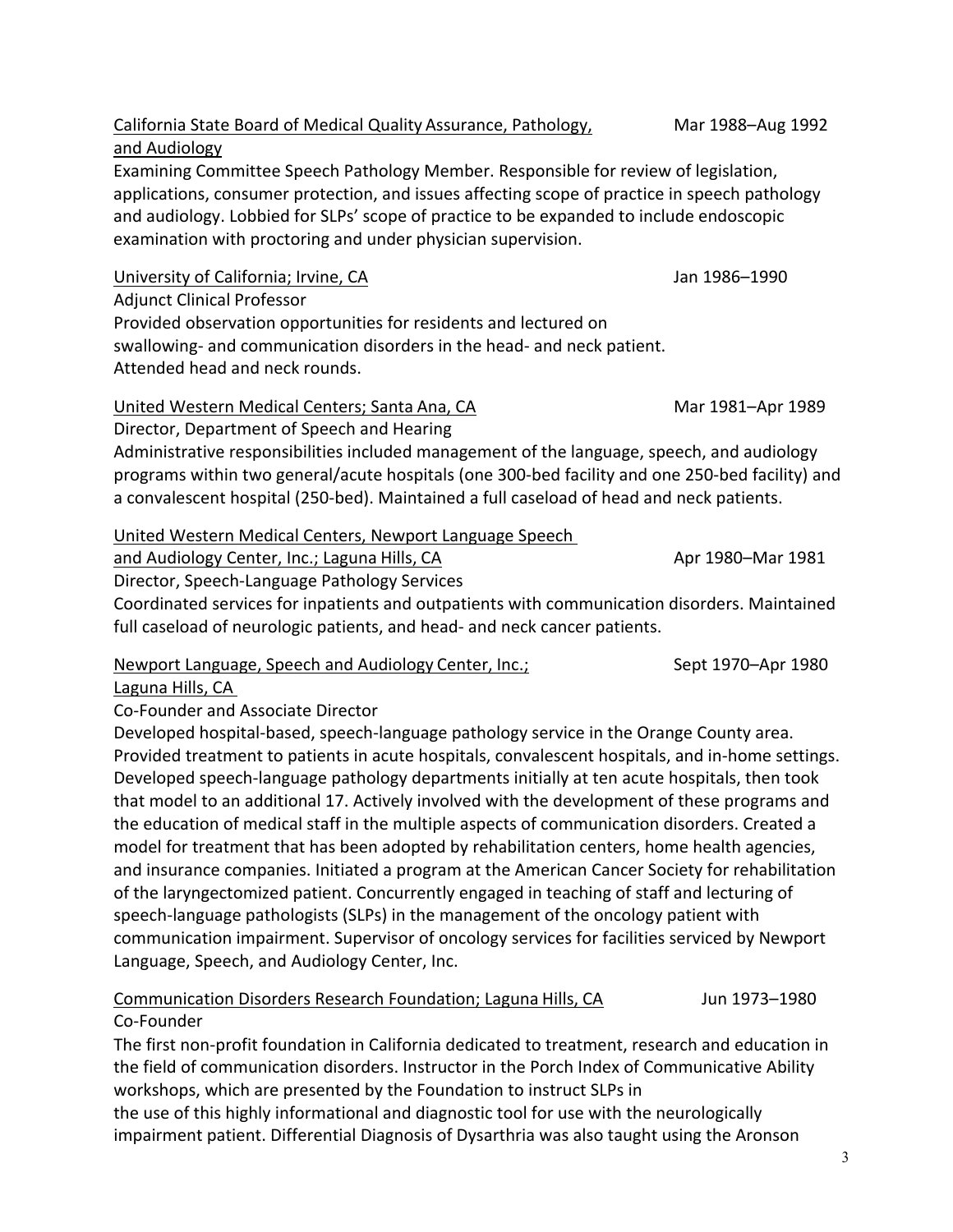California State Board of Medical Quality Assurance, Pathology, Mar 1988–Aug 1992 and Audiology Examining Committee Speech Pathology Member. Responsible for review of legislation,

applications, consumer protection, and issues affecting scope of practice in speech pathology and audiology. Lobbied for SLPs' scope of practice to be expanded to include endoscopic examination with proctoring and under physician supervision.

University of California; Irvine, CA Jan 1986–1990 Adjunct Clinical Professor Provided observation opportunities for residents and lectured on swallowing- and communication disorders in the head- and neck patient. Attended head and neck rounds.

United Western Medical Centers; Santa Ana, CA Mar Mar 1981–Apr 1989

Director, Department of Speech and Hearing Administrative responsibilities included management of the language, speech, and audiology programs within two general/acute hospitals (one 300-bed facility and one 250-bed facility) and a convalescent hospital (250-bed). Maintained a full caseload of head and neck patients.

## United Western Medical Centers, Newport Language Speech

and Audiology Center, Inc.; Laguna Hills, CA And Apr 1980–Mar 1981

Director, Speech-Language Pathology Services

Coordinated services for inpatients and outpatients with communication disorders. Maintained full caseload of neurologic patients, and head- and neck cancer patients.

# Newport Language, Speech and Audiology Center, Inc.; Sept 1970–Apr 1980

Laguna Hills, CA

Co-Founder and Associate Director

Developed hospital-based, speech-language pathology service in the Orange County area. Provided treatment to patients in acute hospitals, convalescent hospitals, and in-home settings. Developed speech-language pathology departments initially at ten acute hospitals, then took that model to an additional 17. Actively involved with the development of these programs and the education of medical staff in the multiple aspects of communication disorders. Created a model for treatment that has been adopted by rehabilitation centers, home health agencies, and insurance companies. Initiated a program at the American Cancer Society for rehabilitation of the laryngectomized patient. Concurrently engaged in teaching of staff and lecturing of speech-language pathologists (SLPs) in the management of the oncology patient with communication impairment. Supervisor of oncology services for facilities serviced by Newport Language, Speech, and Audiology Center, Inc.

#### Communication Disorders Research Foundation; Laguna Hills, CA Jun 1973–1980 Co-Founder

The first non-profit foundation in California dedicated to treatment, research and education in the field of communication disorders. Instructor in the Porch Index of Communicative Ability workshops, which are presented by the Foundation to instruct SLPs in the use of this highly informational and diagnostic tool for use with the neurologically

impairment patient. Differential Diagnosis of Dysarthria was also taught using the Aronson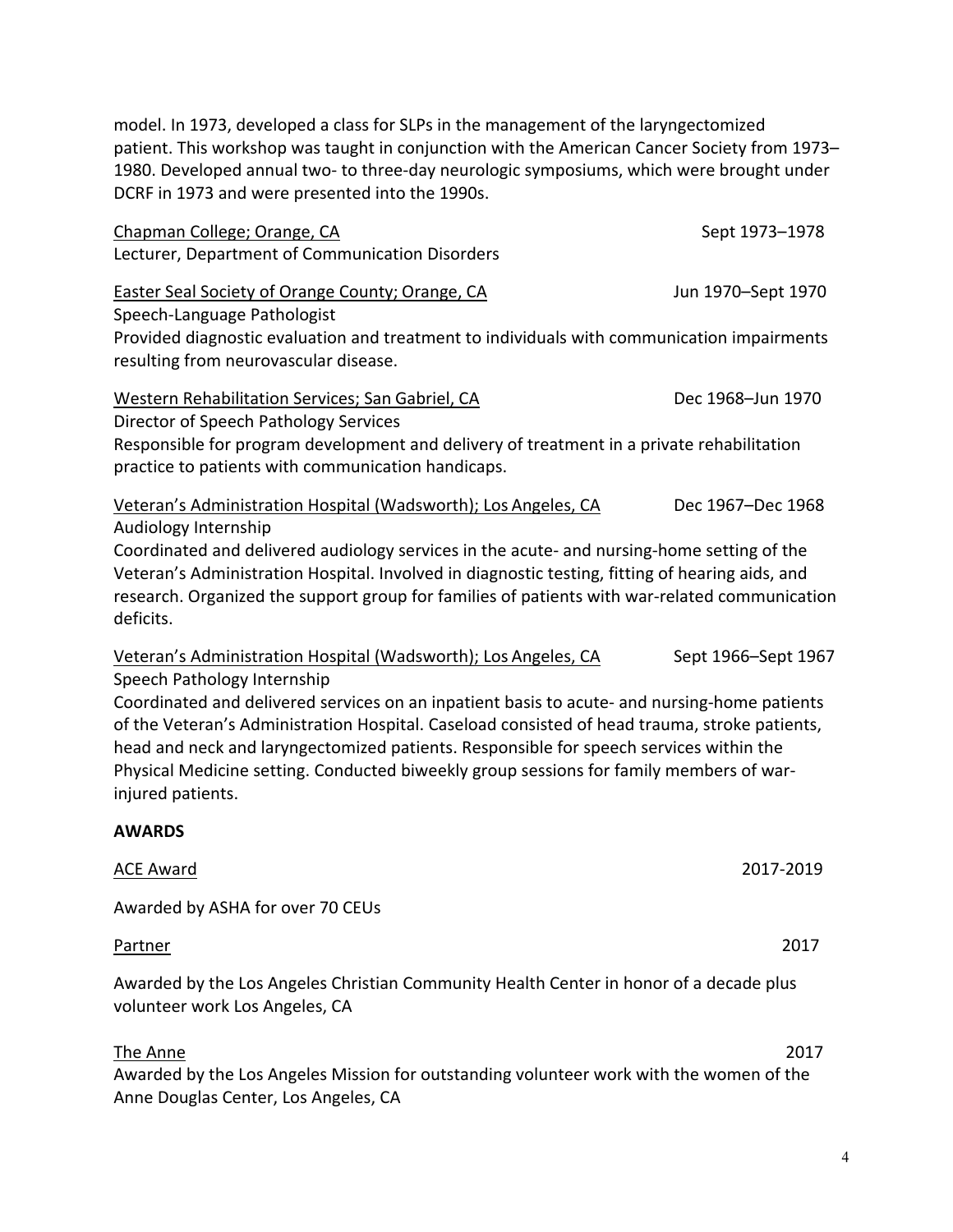model. In 1973, developed a class for SLPs in the management of the laryngectomized patient. This workshop was taught in conjunction with the American Cancer Society from 1973– 1980. Developed annual two- to three-day neurologic symposiums, which were brought under DCRF in 1973 and were presented into the 1990s.

| Chapman College; Orange, CA                                                                                                                                                                                                                                                                                                                                                                                                                                                                              | Sept 1973-1978      |
|----------------------------------------------------------------------------------------------------------------------------------------------------------------------------------------------------------------------------------------------------------------------------------------------------------------------------------------------------------------------------------------------------------------------------------------------------------------------------------------------------------|---------------------|
| Lecturer, Department of Communication Disorders                                                                                                                                                                                                                                                                                                                                                                                                                                                          |                     |
| <b>Easter Seal Society of Orange County; Orange, CA</b><br>Speech-Language Pathologist                                                                                                                                                                                                                                                                                                                                                                                                                   | Jun 1970-Sept 1970  |
| Provided diagnostic evaluation and treatment to individuals with communication impairments<br>resulting from neurovascular disease.                                                                                                                                                                                                                                                                                                                                                                      |                     |
| Western Rehabilitation Services; San Gabriel, CA<br>Director of Speech Pathology Services                                                                                                                                                                                                                                                                                                                                                                                                                | Dec 1968-Jun 1970   |
| Responsible for program development and delivery of treatment in a private rehabilitation<br>practice to patients with communication handicaps.                                                                                                                                                                                                                                                                                                                                                          |                     |
| Veteran's Administration Hospital (Wadsworth); Los Angeles, CA<br>Audiology Internship                                                                                                                                                                                                                                                                                                                                                                                                                   | Dec 1967-Dec 1968   |
| Coordinated and delivered audiology services in the acute- and nursing-home setting of the<br>Veteran's Administration Hospital. Involved in diagnostic testing, fitting of hearing aids, and<br>research. Organized the support group for families of patients with war-related communication<br>deficits.                                                                                                                                                                                              |                     |
| Veteran's Administration Hospital (Wadsworth); Los Angeles, CA<br>Speech Pathology Internship<br>Coordinated and delivered services on an inpatient basis to acute- and nursing-home patients<br>of the Veteran's Administration Hospital. Caseload consisted of head trauma, stroke patients,<br>head and neck and laryngectomized patients. Responsible for speech services within the<br>Physical Medicine setting. Conducted biweekly group sessions for family members of war-<br>injured patients. | Sept 1966-Sept 1967 |
| <b>AWARDS</b>                                                                                                                                                                                                                                                                                                                                                                                                                                                                                            |                     |
| <b>ACE Award</b>                                                                                                                                                                                                                                                                                                                                                                                                                                                                                         | 2017-2019           |
| Awarded by ASHA for over 70 CEUs                                                                                                                                                                                                                                                                                                                                                                                                                                                                         |                     |
| Partner                                                                                                                                                                                                                                                                                                                                                                                                                                                                                                  | 2017                |
| Awarded by the Los Angeles Christian Community Health Center in honor of a decade plus<br>volunteer work Los Angeles, CA                                                                                                                                                                                                                                                                                                                                                                                 |                     |
| The Anne                                                                                                                                                                                                                                                                                                                                                                                                                                                                                                 | 2017                |

Awarded by the Los Angeles Mission for outstanding volunteer work with the women of the Anne Douglas Center, Los Angeles, CA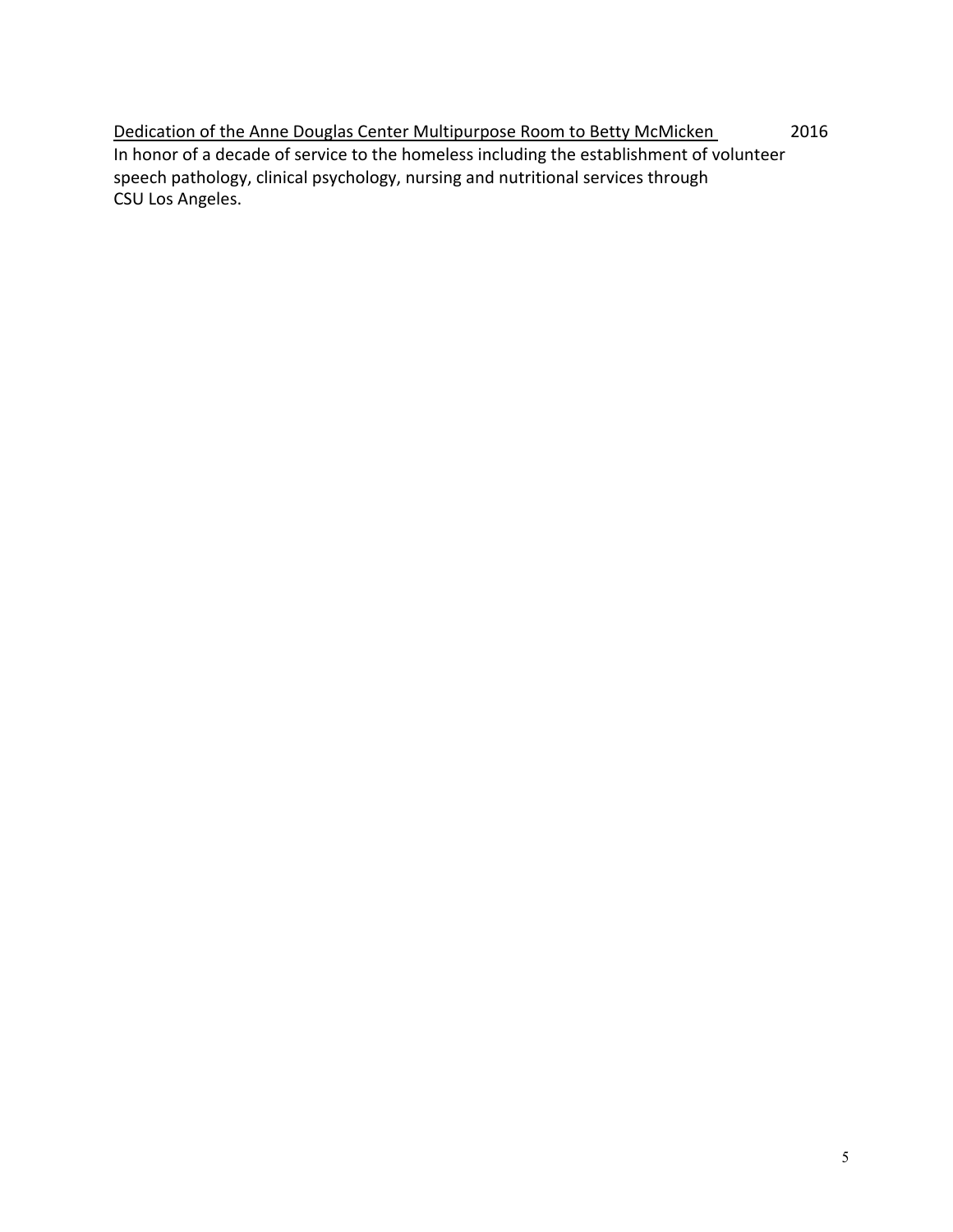Dedication of the Anne Douglas Center Multipurpose Room to Betty McMicken In honor of a decade of service to the homeless including the establishment of volunteer speech pathology, clinical psychology, nursing and nutritional services through CSU Los Angeles. 2016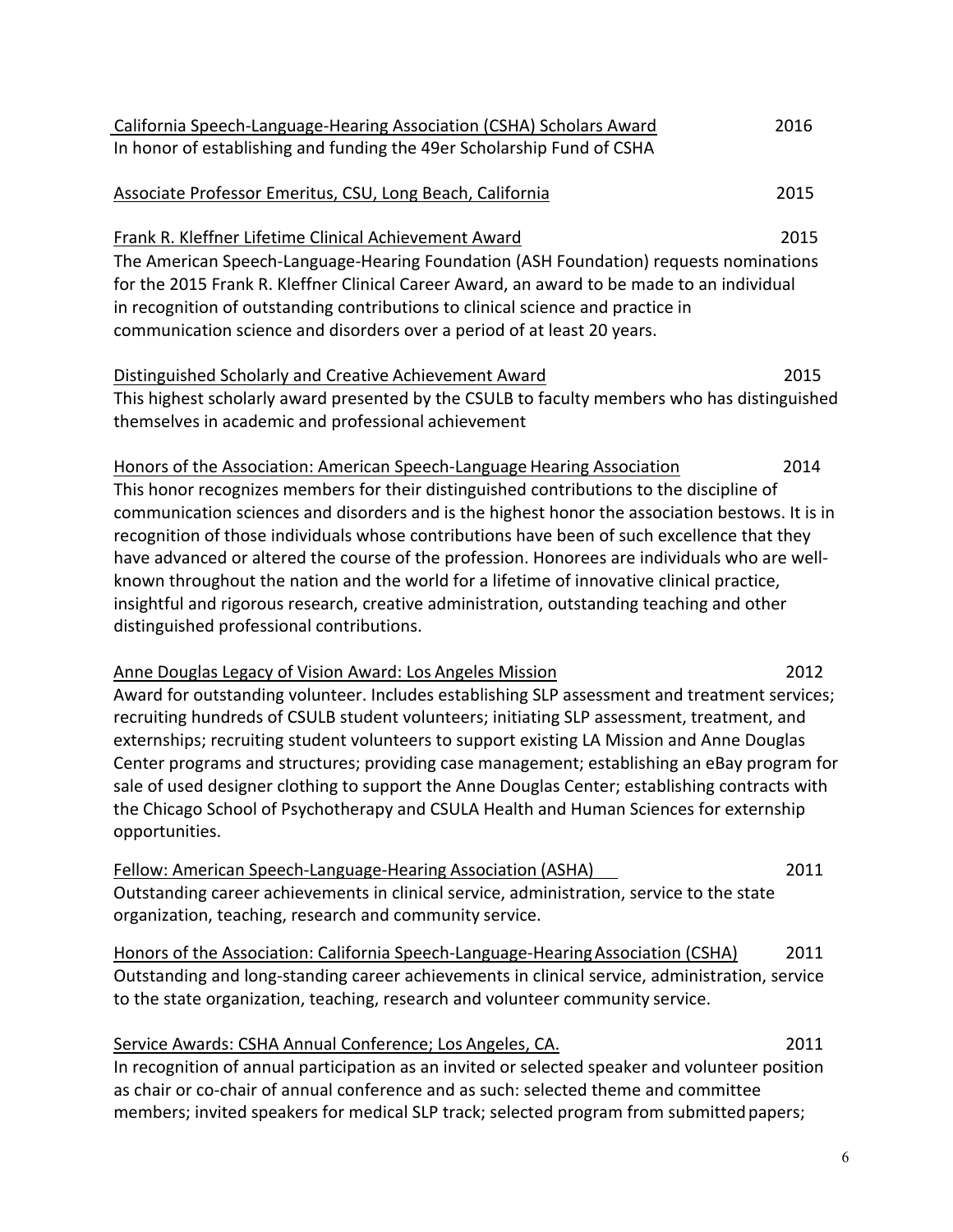| California Speech-Language-Hearing Association (CSHA) Scholars Award<br>In honor of establishing and funding the 49er Scholarship Fund of CSHA                                                                                                                                                                                                                                                                                                                                                                                                                                                                                                                                                                | 2016 |
|---------------------------------------------------------------------------------------------------------------------------------------------------------------------------------------------------------------------------------------------------------------------------------------------------------------------------------------------------------------------------------------------------------------------------------------------------------------------------------------------------------------------------------------------------------------------------------------------------------------------------------------------------------------------------------------------------------------|------|
| Associate Professor Emeritus, CSU, Long Beach, California                                                                                                                                                                                                                                                                                                                                                                                                                                                                                                                                                                                                                                                     | 2015 |
| Frank R. Kleffner Lifetime Clinical Achievement Award<br>The American Speech-Language-Hearing Foundation (ASH Foundation) requests nominations<br>for the 2015 Frank R. Kleffner Clinical Career Award, an award to be made to an individual<br>in recognition of outstanding contributions to clinical science and practice in<br>communication science and disorders over a period of at least 20 years.                                                                                                                                                                                                                                                                                                    | 2015 |
| Distinguished Scholarly and Creative Achievement Award<br>This highest scholarly award presented by the CSULB to faculty members who has distinguished<br>themselves in academic and professional achievement                                                                                                                                                                                                                                                                                                                                                                                                                                                                                                 | 2015 |
| Honors of the Association: American Speech-Language Hearing Association<br>This honor recognizes members for their distinguished contributions to the discipline of<br>communication sciences and disorders and is the highest honor the association bestows. It is in<br>recognition of those individuals whose contributions have been of such excellence that they<br>have advanced or altered the course of the profession. Honorees are individuals who are well-<br>known throughout the nation and the world for a lifetime of innovative clinical practice,<br>insightful and rigorous research, creative administration, outstanding teaching and other<br>distinguished professional contributions. | 2014 |
| Anne Douglas Legacy of Vision Award: Los Angeles Mission<br>Award for outstanding volunteer. Includes establishing SLP assessment and treatment services;<br>recruiting hundreds of CSULB student volunteers; initiating SLP assessment, treatment, and<br>externships; recruiting student volunteers to support existing LA Mission and Anne Douglas<br>Center programs and structures; providing case management; establishing an eBay program for<br>sale of used designer clothing to support the Anne Douglas Center; establishing contracts with<br>the Chicago School of Psychotherapy and CSULA Health and Human Sciences for externship<br>opportunities.                                            | 2012 |
| Fellow: American Speech-Language-Hearing Association (ASHA)<br>Outstanding career achievements in clinical service, administration, service to the state<br>organization, teaching, research and community service.                                                                                                                                                                                                                                                                                                                                                                                                                                                                                           | 2011 |
| Honors of the Association: California Speech-Language-Hearing Association (CSHA)<br>Outstanding and long-standing career achievements in clinical service, administration, service<br>to the state organization, teaching, research and volunteer community service.                                                                                                                                                                                                                                                                                                                                                                                                                                          | 2011 |
| Service Awards: CSHA Annual Conference; Los Angeles, CA.<br>In recognition of annual participation as an invited or selected speaker and volunteer position<br>as chair or co-chair of annual conference and as such: selected theme and committee<br>members; invited speakers for medical SLP track; selected program from submitted papers;                                                                                                                                                                                                                                                                                                                                                                | 2011 |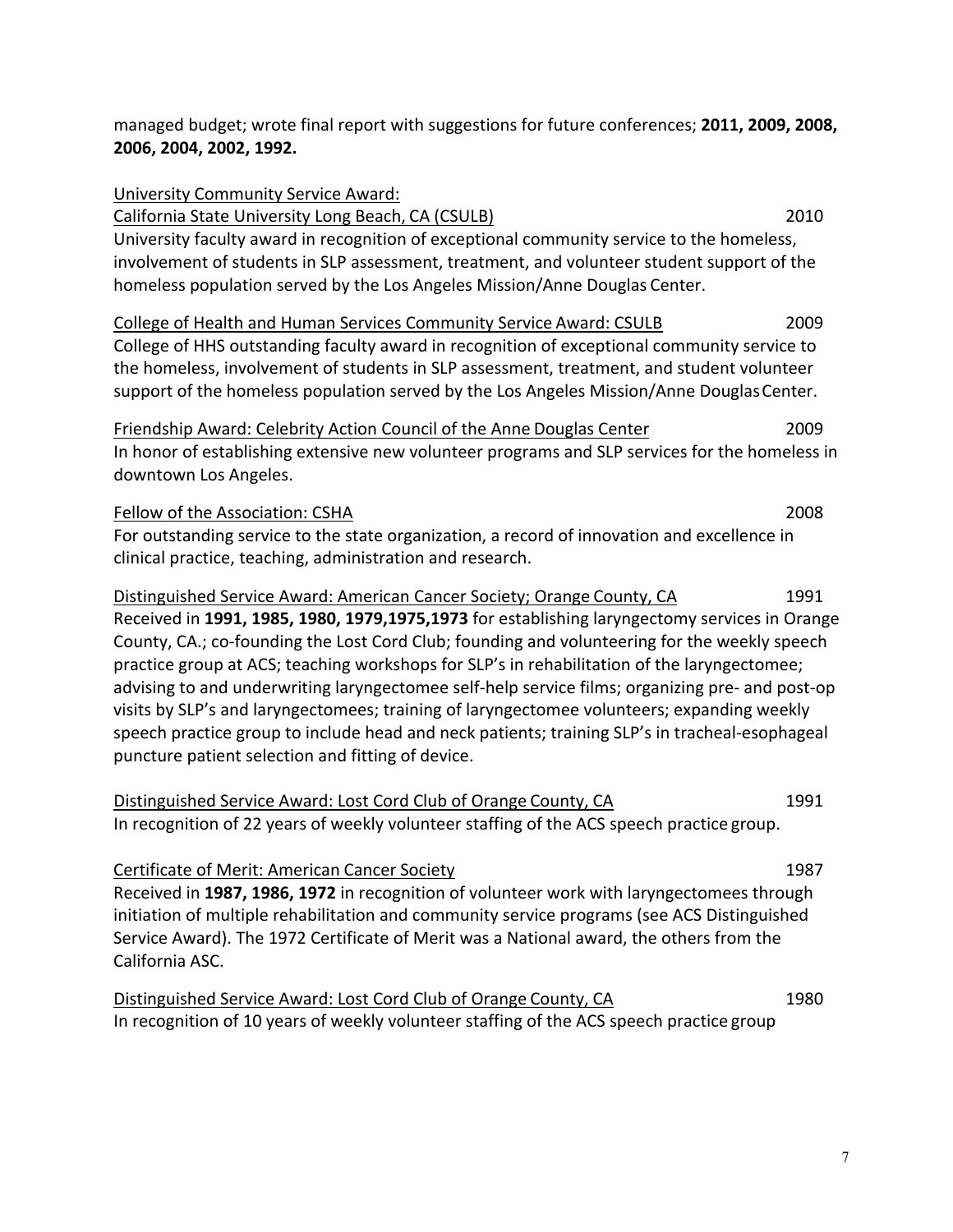managed budget; wrote final report with suggestions for future conferences; **2011, 2009, 2008, 2006, 2004, 2002, 1992.**

| <b>University Community Service Award:</b>                                                     |      |
|------------------------------------------------------------------------------------------------|------|
| California State University Long Beach, CA (CSULB)                                             | 2010 |
| University faculty award in recognition of exceptional community service to the homeless,      |      |
| involvement of students in SLP assessment, treatment, and volunteer student support of the     |      |
| homeless population served by the Los Angeles Mission/Anne Douglas Center.                     |      |
| College of Health and Human Services Community Service Award: CSULB                            | 2009 |
| College of HHS outstanding faculty award in recognition of exceptional community service to    |      |
| the homeless, involvement of students in SLP assessment, treatment, and student volunteer      |      |
| support of the homeless population served by the Los Angeles Mission/Anne Douglas Center.      |      |
| Friendship Award: Celebrity Action Council of the Anne Douglas Center                          | 2009 |
| In honor of establishing extensive new volunteer programs and SLP services for the homeless in |      |
| downtown Los Angeles.                                                                          |      |
| Fellow of the Association: CSHA                                                                | 2008 |
| For outstanding service to the state organization, a record of innovation and excellence in    |      |
| clinical practice, teaching, administration and research.                                      |      |
| Distinguished Service Award: American Cancer Society; Orange County, CA                        | 1991 |

Received in **1991, 1985, 1980, 1979,1975,1973** for establishing laryngectomy services in Orange County, CA.; co-founding the Lost Cord Club; founding and volunteering for the weekly speech practice group at ACS; teaching workshops for SLP's in rehabilitation of the laryngectomee; advising to and underwriting laryngectomee self-help service films; organizing pre- and post-op visits by SLP's and laryngectomees; training of laryngectomee volunteers; expanding weekly speech practice group to include head and neck patients; training SLP's in tracheal-esophageal puncture patient selection and fitting of device.

| Distinguished Service Award: Lost Cord Club of Orange County, CA                          | 1991 |
|-------------------------------------------------------------------------------------------|------|
| In recognition of 22 years of weekly volunteer staffing of the ACS speech practice group. |      |

Certificate of Merit: American Cancer Society 1987 Received in **1987, 1986, 1972** in recognition of volunteer work with laryngectomees through initiation of multiple rehabilitation and community service programs (see ACS Distinguished Service Award). The 1972 Certificate of Merit was a National award, the others from the California ASC.

| Distinguished Service Award: Lost Cord Club of Orange County, CA                         | 1980 |
|------------------------------------------------------------------------------------------|------|
| In recognition of 10 years of weekly volunteer staffing of the ACS speech practice group |      |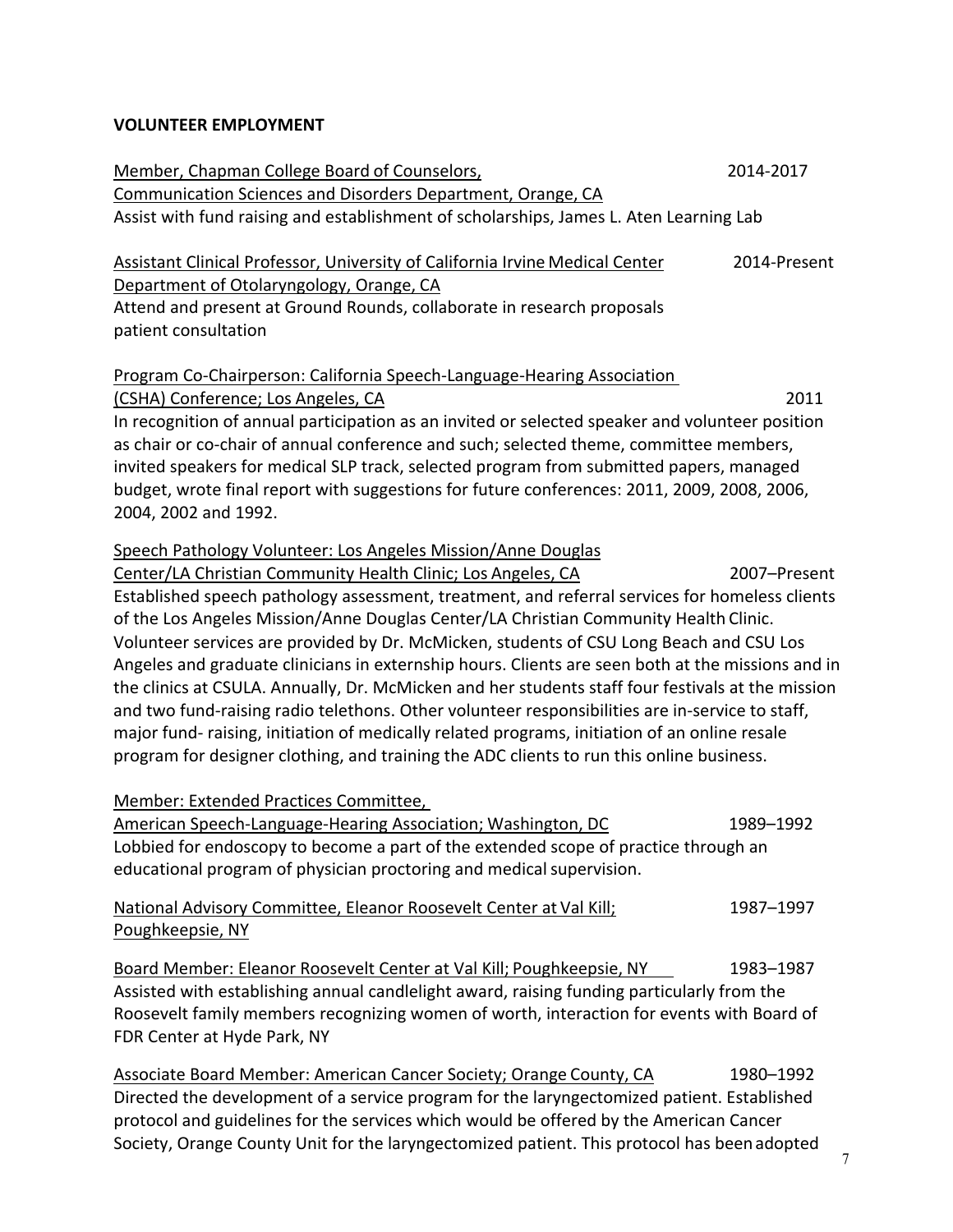#### **VOLUNTEER EMPLOYMENT**

Member, Chapman College Board of Counselors, 2014-2017 Communication Sciences and Disorders Department, Orange, CA Assist with fund raising and establishment of scholarships, James L. Aten Learning Lab Assistant Clinical Professor, University of California Irvine Medical Center 2014-Present Department of Otolaryngology, Orange, CA Attend and present at Ground Rounds, collaborate in research proposals patient consultation Program Co-Chairperson: California Speech-Language-Hearing Association (CSHA) Conference; Los Angeles, CA 2011 In recognition of annual participation as an invited or selected speaker and volunteer position as chair or co-chair of annual conference and such; selected theme, committee members, invited speakers for medical SLP track, selected program from submitted papers, managed budget, wrote final report with suggestions for future conferences: 2011, 2009, 2008, 2006, 2004, 2002 and 1992. Speech Pathology Volunteer: Los Angeles Mission/Anne Douglas Center/LA Christian Community Health Clinic; Los Angeles, CA 2007–Present Established speech pathology assessment, treatment, and referral services for homeless clients of the Los Angeles Mission/Anne Douglas Center/LA Christian Community Health Clinic. Volunteer services are provided by Dr. McMicken, students of CSU Long Beach and CSU Los Angeles and graduate clinicians in externship hours. Clients are seen both at the missions and in the clinics at CSULA. Annually, Dr. McMicken and her students staff four festivals at the mission and two fund-raising radio telethons. Other volunteer responsibilities are in-service to staff, major fund- raising, initiation of medically related programs, initiation of an online resale program for designer clothing, and training the ADC clients to run this online business. Member: Extended Practices Committee, American Speech-Language-Hearing Association; Washington, DC 1989–1992 Lobbied for endoscopy to become a part of the extended scope of practice through an educational program of physician proctoring and medical supervision. National Advisory Committee, Eleanor Roosevelt Center at Val Kill; 1987–1997 Poughkeepsie, NY Board Member: Eleanor Roosevelt Center at Val Kill; Poughkeepsie, NY 1983–1987 Assisted with establishing annual candlelight award, raising funding particularly from the Roosevelt family members recognizing women of worth, interaction for events with Board of FDR Center at Hyde Park, NY Associate Board Member: American Cancer Society; Orange County, CA 1980–1992 Directed the development of a service program for the laryngectomized patient. Established protocol and guidelines for the services which would be offered by the American Cancer Society, Orange County Unit for the laryngectomized patient. This protocol has beenadopted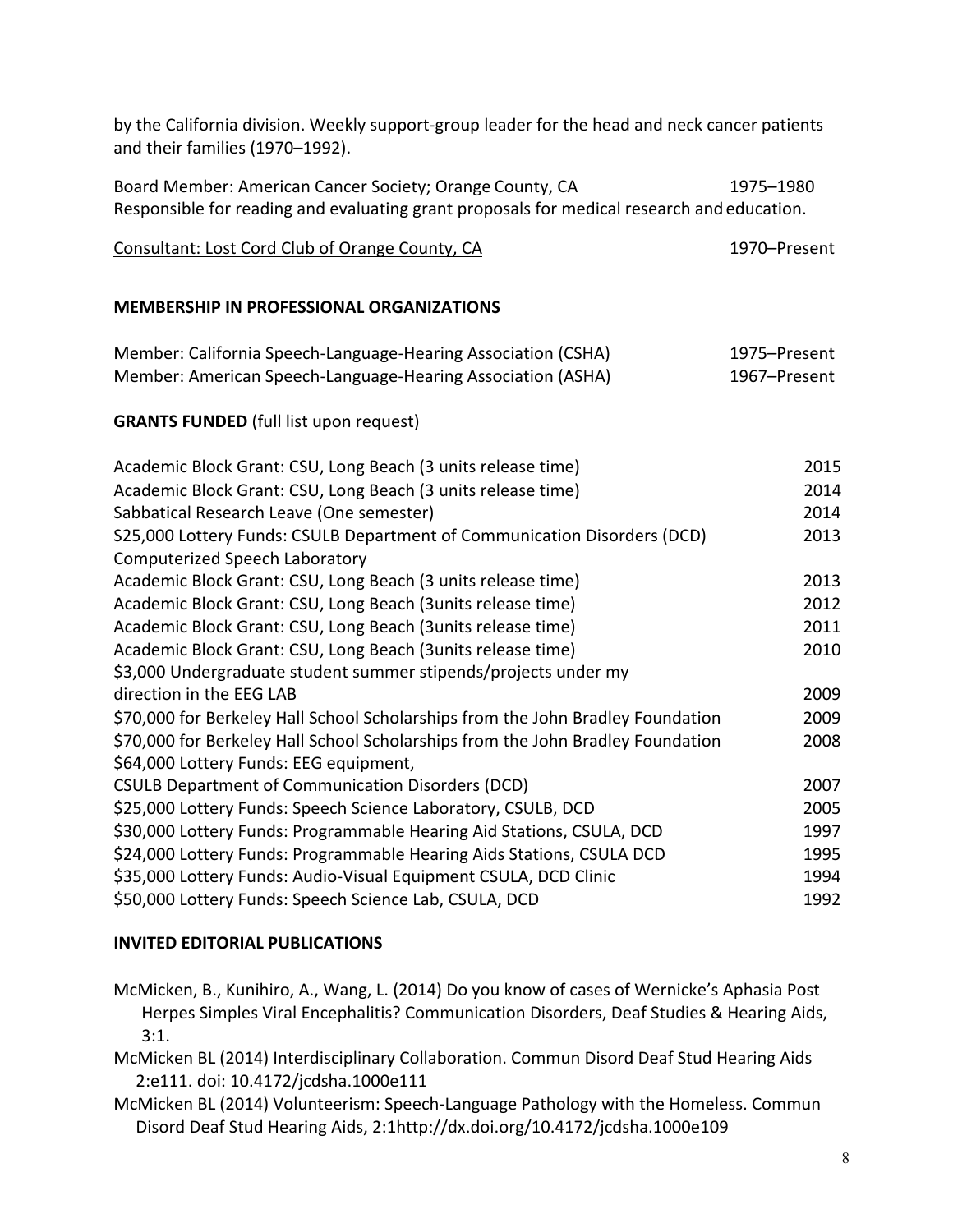| by the California division. Weekly support-group leader for the head and neck cancer patients<br>and their families (1970-1992).                       |              |
|--------------------------------------------------------------------------------------------------------------------------------------------------------|--------------|
| Board Member: American Cancer Society; Orange County, CA<br>Responsible for reading and evaluating grant proposals for medical research and education. | 1975-1980    |
| Consultant: Lost Cord Club of Orange County, CA                                                                                                        | 1970-Present |
| <b>MEMBERSHIP IN PROFESSIONAL ORGANIZATIONS</b>                                                                                                        |              |
| Member: California Speech-Language-Hearing Association (CSHA)                                                                                          | 1975-Present |
| Member: American Speech-Language-Hearing Association (ASHA)                                                                                            | 1967-Present |
| <b>GRANTS FUNDED</b> (full list upon request)                                                                                                          |              |
| Academic Block Grant: CSU, Long Beach (3 units release time)                                                                                           | 2015         |
| Academic Block Grant: CSU, Long Beach (3 units release time)                                                                                           | 2014         |
| Sabbatical Research Leave (One semester)                                                                                                               | 2014         |
| S25,000 Lottery Funds: CSULB Department of Communication Disorders (DCD)<br>Computerized Speech Laboratory                                             | 2013         |
| Academic Block Grant: CSU, Long Beach (3 units release time)                                                                                           | 2013         |
| Academic Block Grant: CSU, Long Beach (3units release time)                                                                                            | 2012         |
| Academic Block Grant: CSU, Long Beach (3units release time)                                                                                            | 2011         |
| Academic Block Grant: CSU, Long Beach (3units release time)                                                                                            | 2010         |
| \$3,000 Undergraduate student summer stipends/projects under my                                                                                        |              |
| direction in the EEG LAB                                                                                                                               | 2009         |
| \$70,000 for Berkeley Hall School Scholarships from the John Bradley Foundation                                                                        | 2009         |
| \$70,000 for Berkeley Hall School Scholarships from the John Bradley Foundation                                                                        | 2008         |
| \$64,000 Lottery Funds: EEG equipment,                                                                                                                 |              |
| <b>CSULB Department of Communication Disorders (DCD)</b>                                                                                               | 2007         |
| \$25,000 Lottery Funds: Speech Science Laboratory, CSULB, DCD                                                                                          | 2005         |
| \$30,000 Lottery Funds: Programmable Hearing Aid Stations, CSULA, DCD                                                                                  | 1997         |
| \$24,000 Lottery Funds: Programmable Hearing Aids Stations, CSULA DCD                                                                                  | 1995         |
| \$35,000 Lottery Funds: Audio-Visual Equipment CSULA, DCD Clinic                                                                                       | 1994         |
| \$50,000 Lottery Funds: Speech Science Lab, CSULA, DCD                                                                                                 | 1992         |

#### **INVITED EDITORIAL PUBLICATIONS**

- McMicken, B., Kunihiro, A., Wang, L. (2014) Do you know of cases of Wernicke's Aphasia Post Herpes Simples Viral Encephalitis? Communication Disorders, Deaf Studies & Hearing Aids, 3:1.
- McMicken BL (2014) Interdisciplinary Collaboration. Commun Disord Deaf Stud Hearing Aids 2:e111. doi: 10.4172/jcdsha.1000e111
- McMicken BL (2014) Volunteerism: Speech-Language Pathology with the Homeless. Commun Disord Deaf Stud Hearing Aids, 2:1http://dx.doi.org/10.4172/jcdsha.1000e109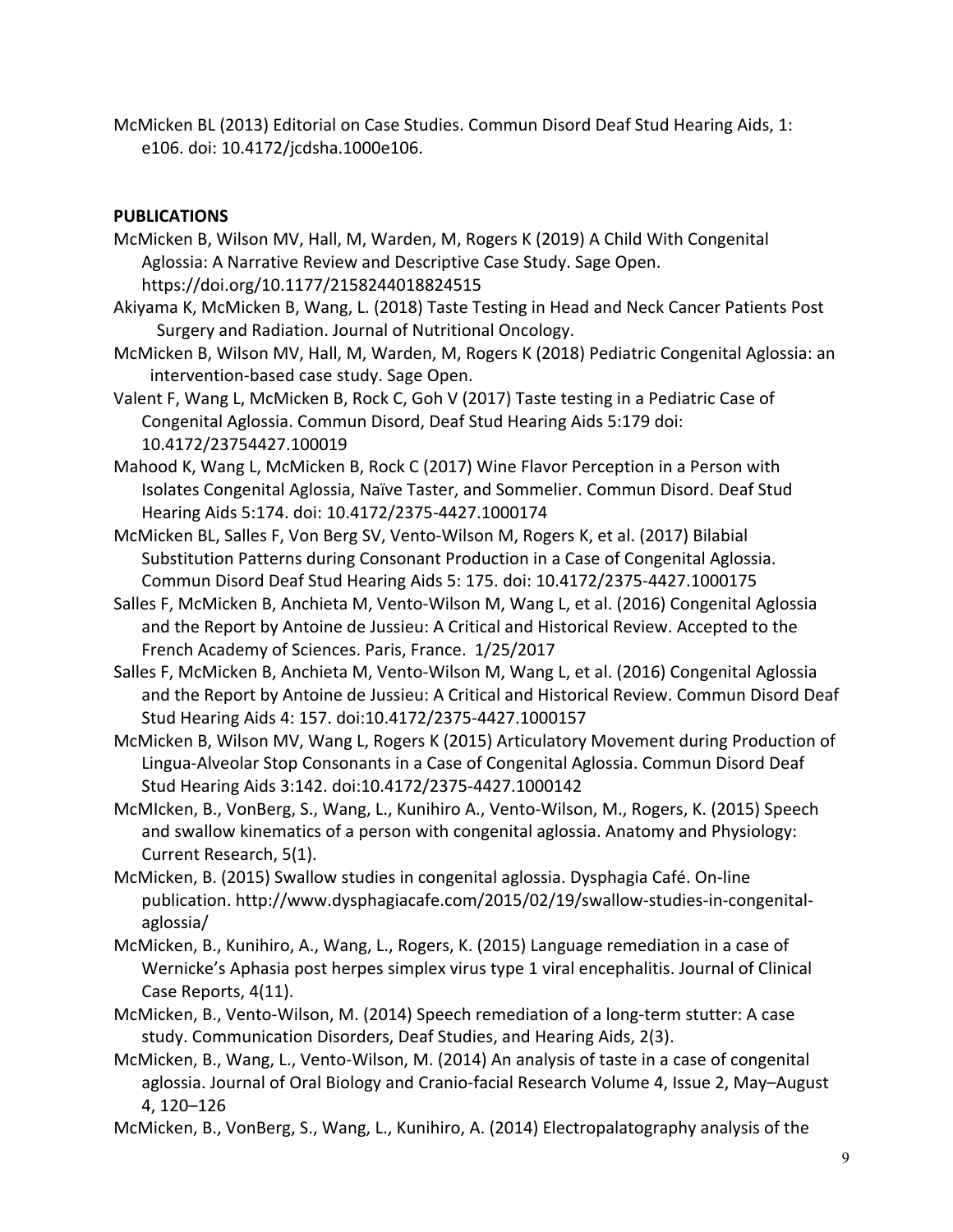McMicken BL (2013) Editorial on Case Studies. Commun Disord Deaf Stud Hearing Aids, 1: e106. doi: 10.4172/jcdsha.1000e106.

#### **PUBLICATIONS**

- McMicken B, Wilson MV, Hall, M, Warden, M, Rogers K (2019) A Child With Congenital Aglossia: A Narrative Review and Descriptive Case Study. Sage Open. https://doi.org/10.1177/2158244018824515
- Akiyama K, McMicken B, Wang, L. (2018) Taste Testing in Head and Neck Cancer Patients Post Surgery and Radiation. Journal of Nutritional Oncology.
- McMicken B, Wilson MV, Hall, M, Warden, M, Rogers K (2018) Pediatric Congenital Aglossia: an intervention-based case study. Sage Open.
- Valent F, Wang L, McMicken B, Rock C, Goh V (2017) Taste testing in a Pediatric Case of Congenital Aglossia. Commun Disord, Deaf Stud Hearing Aids 5:179 doi: 10.4172/23754427.100019
- Mahood K, Wang L, McMicken B, Rock C (2017) Wine Flavor Perception in a Person with Isolates Congenital Aglossia, Naïve Taster, and Sommelier. Commun Disord. Deaf Stud Hearing Aids 5:174. doi: 10.4172/2375-4427.1000174
- McMicken BL, Salles F, Von Berg SV, Vento-Wilson M, Rogers K, et al. (2017) Bilabial Substitution Patterns during Consonant Production in a Case of Congenital Aglossia. Commun Disord Deaf Stud Hearing Aids 5: 175. doi: 10.4172/2375-4427.1000175
- Salles F, McMicken B, Anchieta M, Vento-Wilson M, Wang L, et al. (2016) Congenital Aglossia and the Report by Antoine de Jussieu: A Critical and Historical Review. Accepted to the French Academy of Sciences. Paris, France. 1/25/2017
- Salles F, McMicken B, Anchieta M, Vento-Wilson M, Wang L, et al. (2016) Congenital Aglossia and the Report by Antoine de Jussieu: A Critical and Historical Review. Commun Disord Deaf Stud Hearing Aids 4: 157. doi:10.4172/2375-4427.1000157
- McMicken B, Wilson MV, Wang L, Rogers K (2015) Articulatory Movement during Production of Lingua-Alveolar Stop Consonants in a Case of Congenital Aglossia. Commun Disord Deaf Stud Hearing Aids 3:142. doi:10.4172/2375-4427.1000142
- McMIcken, B., VonBerg, S., Wang, L., Kunihiro A., Vento-Wilson, M., Rogers, K. (2015) Speech and swallow kinematics of a person with congenital aglossia. Anatomy and Physiology: Current Research, 5(1).
- McMicken, B. (2015) Swallow studies in congenital aglossia. Dysphagia Café. On-line publication. http://www.dysphagiacafe.com/2015/02/19/swallow-studies-in-congenitalaglossia/
- McMicken, B., Kunihiro, A., Wang, L., Rogers, K. (2015) Language remediation in a case of Wernicke's Aphasia post herpes simplex virus type 1 viral encephalitis. Journal of Clinical Case Reports, 4(11).
- McMicken, B., Vento-Wilson, M. (2014) Speech remediation of a long-term stutter: A case study. Communication Disorders, Deaf Studies, and Hearing Aids, 2(3).
- McMicken, B., Wang, L., Vento-Wilson, M. (2014) An analysis of taste in a case of congenital aglossia. Journal of Oral Biology and Cranio-facial Research Volume 4, Issue 2, May–August 4, 120–126
- McMicken, B., VonBerg, S., Wang, L., Kunihiro, A. (2014) Electropalatography analysis of the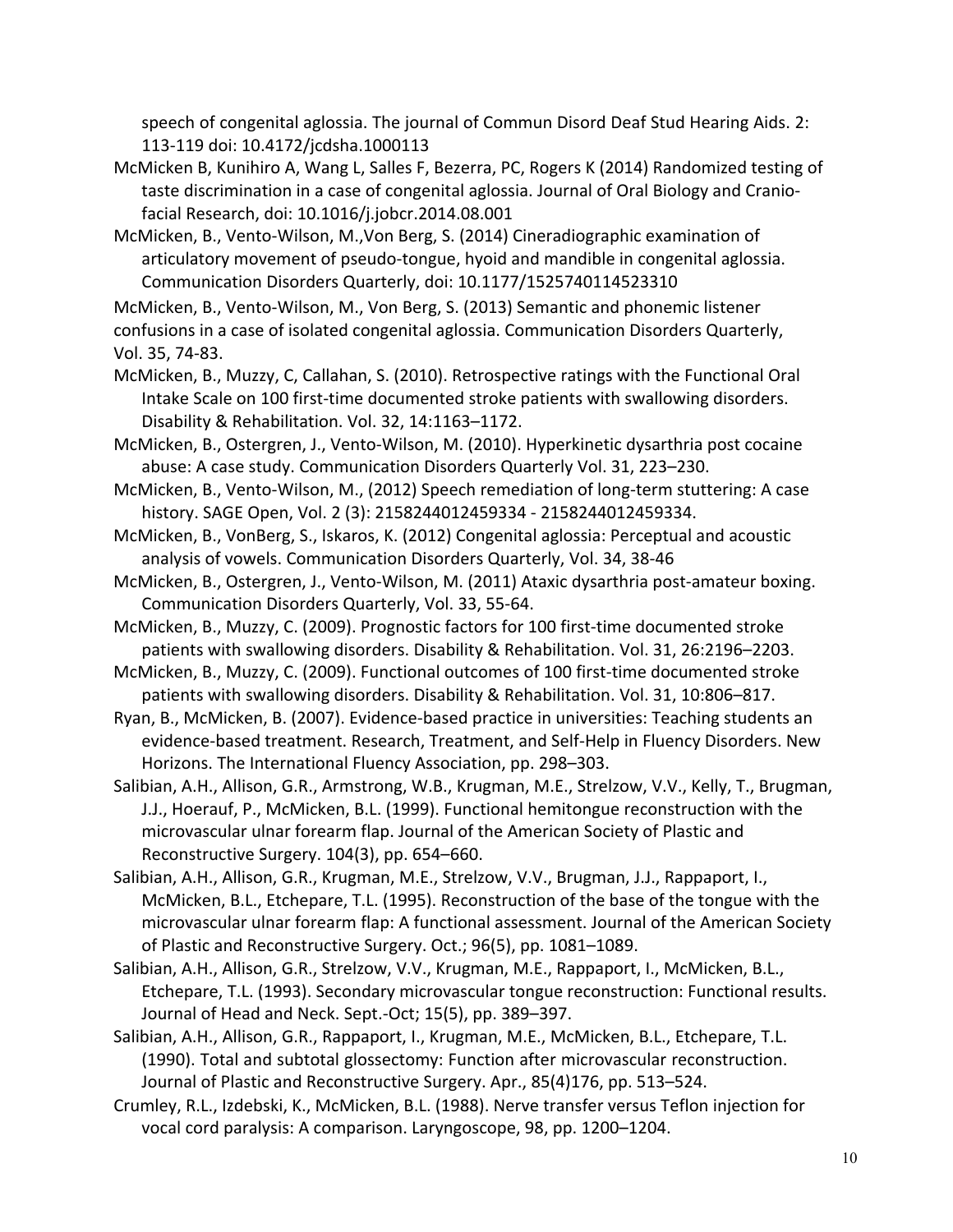speech of congenital aglossia. The journal of Commun Disord Deaf Stud Hearing Aids. 2: 113-119 doi: 10.4172/jcdsha.1000113

- McMicken B, Kunihiro A, Wang L, Salles F, Bezerra, PC, Rogers K (2014) Randomized testing of taste discrimination in a case of congenital aglossia. Journal of Oral Biology and Craniofacial Research, doi: 10.1016/j.jobcr.2014.08.001
- McMicken, B., Vento-Wilson, M.,Von Berg, S. (2014) Cineradiographic examination of articulatory movement of pseudo-tongue, hyoid and mandible in congenital aglossia. Communication Disorders Quarterly, doi: 10.1177/1525740114523310

McMicken, B., Vento-Wilson, M., Von Berg, S. (2013) Semantic and phonemic listener confusions in a case of isolated congenital aglossia. Communication Disorders Quarterly, Vol. 35, 74-83.

- McMicken, B., Muzzy, C, Callahan, S. (2010). Retrospective ratings with the Functional Oral Intake Scale on 100 first-time documented stroke patients with swallowing disorders. Disability & Rehabilitation. Vol. 32, 14:1163–1172.
- McMicken, B., Ostergren, J., Vento-Wilson, M. (2010). Hyperkinetic dysarthria post cocaine abuse: A case study. Communication Disorders Quarterly Vol. 31, 223–230.
- McMicken, B., Vento-Wilson, M., (2012) Speech remediation of long-term stuttering: A case history. SAGE Open, Vol. 2 (3): 2158244012459334 - 2158244012459334.
- McMicken, B., VonBerg, S., Iskaros, K. (2012) Congenital aglossia: Perceptual and acoustic analysis of vowels. Communication Disorders Quarterly, Vol. 34, 38-46
- McMicken, B., Ostergren, J., Vento-Wilson, M. (2011) Ataxic dysarthria post-amateur boxing. Communication Disorders Quarterly, Vol. 33, 55-64.
- McMicken, B., Muzzy, C. (2009). Prognostic factors for 100 first-time documented stroke patients with swallowing disorders. Disability & Rehabilitation. Vol. 31, 26:2196–2203.
- McMicken, B., Muzzy, C. (2009). Functional outcomes of 100 first-time documented stroke patients with swallowing disorders. Disability & Rehabilitation. Vol. 31, 10:806–817.
- Ryan, B., McMicken, B. (2007). Evidence-based practice in universities: Teaching students an evidence-based treatment. Research, Treatment, and Self-Help in Fluency Disorders. New Horizons. The International Fluency Association, pp. 298–303.
- Salibian, A.H., Allison, G.R., Armstrong, W.B., Krugman, M.E., Strelzow, V.V., Kelly, T., Brugman, J.J., Hoerauf, P., McMicken, B.L. (1999). Functional hemitongue reconstruction with the microvascular ulnar forearm flap. Journal of the American Society of Plastic and Reconstructive Surgery. 104(3), pp. 654–660.
- Salibian, A.H., Allison, G.R., Krugman, M.E., Strelzow, V.V., Brugman, J.J., Rappaport, I., McMicken, B.L., Etchepare, T.L. (1995). Reconstruction of the base of the tongue with the microvascular ulnar forearm flap: A functional assessment. Journal of the American Society of Plastic and Reconstructive Surgery. Oct.; 96(5), pp. 1081–1089.
- Salibian, A.H., Allison, G.R., Strelzow, V.V., Krugman, M.E., Rappaport, I., McMicken, B.L., Etchepare, T.L. (1993). Secondary microvascular tongue reconstruction: Functional results. Journal of Head and Neck. Sept.-Oct; 15(5), pp. 389–397.
- Salibian, A.H., Allison, G.R., Rappaport, I., Krugman, M.E., McMicken, B.L., Etchepare, T.L. (1990). Total and subtotal glossectomy: Function after microvascular reconstruction. Journal of Plastic and Reconstructive Surgery. Apr., 85(4)176, pp. 513–524.
- Crumley, R.L., Izdebski, K., McMicken, B.L. (1988). Nerve transfer versus Teflon injection for vocal cord paralysis: A comparison. Laryngoscope, 98, pp. 1200–1204.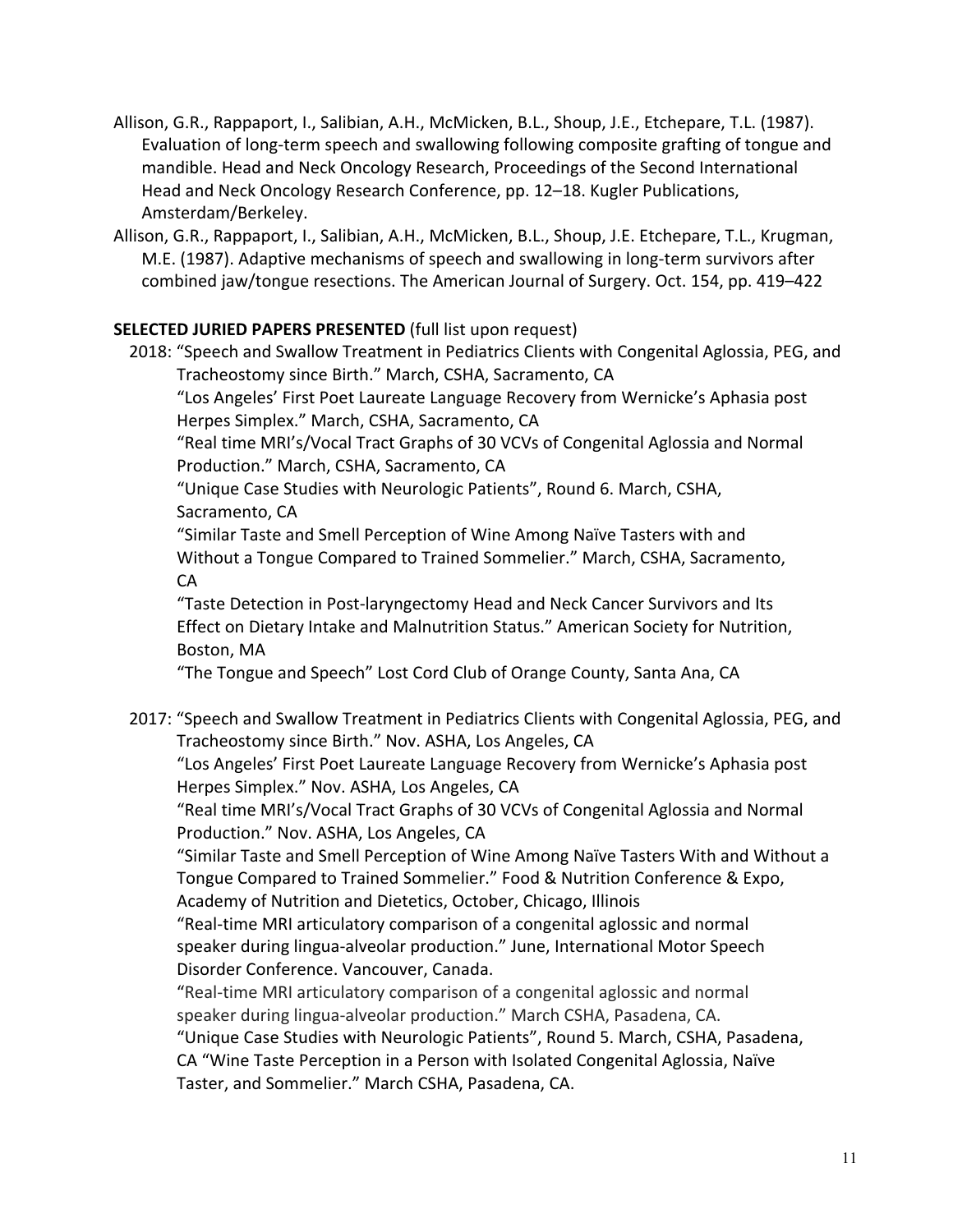- Allison, G.R., Rappaport, I., Salibian, A.H., McMicken, B.L., Shoup, J.E., Etchepare, T.L. (1987). Evaluation of long-term speech and swallowing following composite grafting of tongue and mandible. Head and Neck Oncology Research, Proceedings of the Second International Head and Neck Oncology Research Conference, pp. 12–18. Kugler Publications, Amsterdam/Berkeley.
- Allison, G.R., Rappaport, I., Salibian, A.H., McMicken, B.L., Shoup, J.E. Etchepare, T.L., Krugman, M.E. (1987). Adaptive mechanisms of speech and swallowing in long-term survivors after combined jaw/tongue resections. The American Journal of Surgery. Oct. 154, pp. 419–422

### **SELECTED JURIED PAPERS PRESENTED** (full list upon request)

 2018: "Speech and Swallow Treatment in Pediatrics Clients with Congenital Aglossia, PEG, and Tracheostomy since Birth." March, CSHA, Sacramento, CA

"Los Angeles' First Poet Laureate Language Recovery from Wernicke's Aphasia post Herpes Simplex." March, CSHA, Sacramento, CA

"Real time MRI's/Vocal Tract Graphs of 30 VCVs of Congenital Aglossia and Normal Production." March, CSHA, Sacramento, CA

"Unique Case Studies with Neurologic Patients", Round 6. March, CSHA, Sacramento, CA

"Similar Taste and Smell Perception of Wine Among Naïve Tasters with and Without a Tongue Compared to Trained Sommelier." March, CSHA, Sacramento, CA

"Taste Detection in Post-laryngectomy Head and Neck Cancer Survivors and Its Effect on Dietary Intake and Malnutrition Status." American Society for Nutrition, Boston, MA

"The Tongue and Speech" Lost Cord Club of Orange County, Santa Ana, CA

 2017: "Speech and Swallow Treatment in Pediatrics Clients with Congenital Aglossia, PEG, and Tracheostomy since Birth." Nov. ASHA, Los Angeles, CA

"Los Angeles' First Poet Laureate Language Recovery from Wernicke's Aphasia post Herpes Simplex." Nov. ASHA, Los Angeles, CA

"Real time MRI's/Vocal Tract Graphs of 30 VCVs of Congenital Aglossia and Normal Production." Nov. ASHA, Los Angeles, CA

"Similar Taste and Smell Perception of Wine Among Naïve Tasters With and Without a Tongue Compared to Trained Sommelier." Food & Nutrition Conference & Expo, Academy of Nutrition and Dietetics, October, Chicago, Illinois

"Real-time MRI articulatory comparison of a congenital aglossic and normal speaker during lingua-alveolar production." June, International Motor Speech Disorder Conference. Vancouver, Canada.

"Real-time MRI articulatory comparison of a congenital aglossic and normal speaker during lingua-alveolar production." March CSHA, Pasadena, CA.

"Unique Case Studies with Neurologic Patients", Round 5. March, CSHA, Pasadena,

CA "Wine Taste Perception in a Person with Isolated Congenital Aglossia, Naïve Taster, and Sommelier." March CSHA, Pasadena, CA.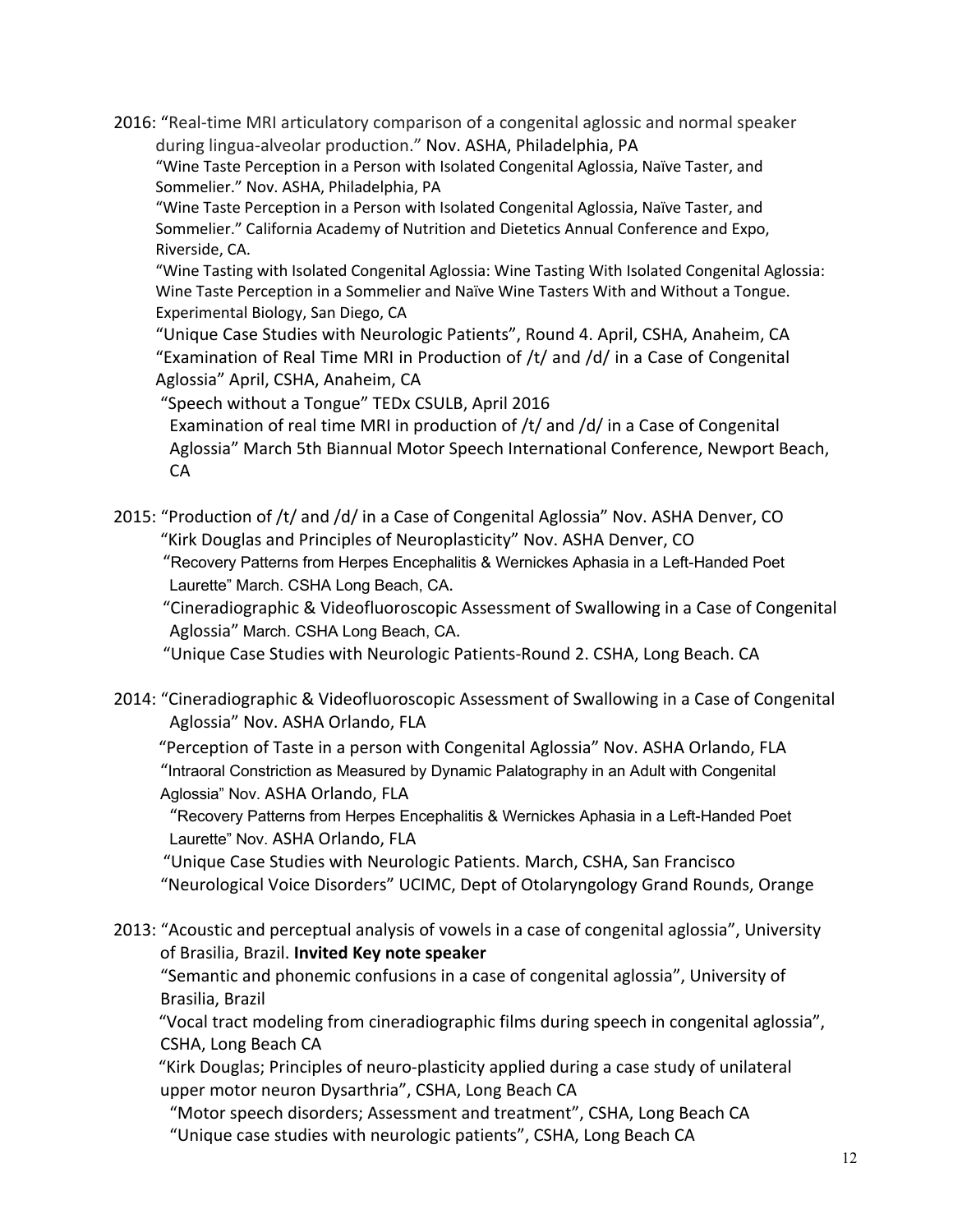2016: "Real-time MRI articulatory comparison of a congenital aglossic and normal speaker during lingua-alveolar production." Nov. ASHA, Philadelphia, PA

"Wine Taste Perception in a Person with Isolated Congenital Aglossia, Naïve Taster, and Sommelier." Nov. ASHA, Philadelphia, PA

"Wine Taste Perception in a Person with Isolated Congenital Aglossia, Naïve Taster, and Sommelier." California Academy of Nutrition and Dietetics Annual Conference and Expo, Riverside, CA.

"Wine Tasting with Isolated Congenital Aglossia: Wine Tasting With Isolated Congenital Aglossia: Wine Taste Perception in a Sommelier and Naïve Wine Tasters With and Without a Tongue. Experimental Biology, San Diego, CA

"Unique Case Studies with Neurologic Patients", Round 4. April, CSHA, Anaheim, CA "Examination of Real Time MRI in Production of /t/ and /d/ in a Case of Congenital Aglossia" April, CSHA, Anaheim, CA

"Speech without a Tongue" TEDx CSULB, April 2016

Examination of real time MRI in production of /t/ and /d/ in a Case of Congenital Aglossia" March 5th Biannual Motor Speech International Conference, Newport Beach, CA

2015: "Production of /t/ and /d/ in a Case of Congenital Aglossia" Nov. ASHA Denver, CO "Kirk Douglas and Principles of Neuroplasticity" Nov. ASHA Denver, CO "Recovery Patterns from Herpes Encephalitis & Wernickes Aphasia in a Left-Handed Poet Laurette" March. CSHA Long Beach, CA.

"Cineradiographic & Videofluoroscopic Assessment of Swallowing in a Case of Congenital Aglossia" March. CSHA Long Beach, CA.

"Unique Case Studies with Neurologic Patients-Round 2. CSHA, Long Beach. CA

2014: "Cineradiographic & Videofluoroscopic Assessment of Swallowing in a Case of Congenital Aglossia" Nov. ASHA Orlando, FLA

"Perception of Taste in a person with Congenital Aglossia" Nov. ASHA Orlando, FLA "Intraoral Constriction as Measured by Dynamic Palatography in an Adult with Congenital Aglossia" Nov. ASHA Orlando, FLA

"Recovery Patterns from Herpes Encephalitis & Wernickes Aphasia in a Left-Handed Poet Laurette" Nov. ASHA Orlando, FLA

"Unique Case Studies with Neurologic Patients. March, CSHA, San Francisco "Neurological Voice Disorders" UCIMC, Dept of Otolaryngology Grand Rounds, Orange

2013: "Acoustic and perceptual analysis of vowels in a case of congenital aglossia", University of Brasilia, Brazil. **Invited Key note speaker**

"Semantic and phonemic confusions in a case of congenital aglossia", University of Brasilia, Brazil

"Vocal tract modeling from cineradiographic films during speech in congenital aglossia", CSHA, Long Beach CA

"Kirk Douglas; Principles of neuro-plasticity applied during a case study of unilateral upper motor neuron Dysarthria", CSHA, Long Beach CA

"Motor speech disorders; Assessment and treatment", CSHA, Long Beach CA "Unique case studies with neurologic patients", CSHA, Long Beach CA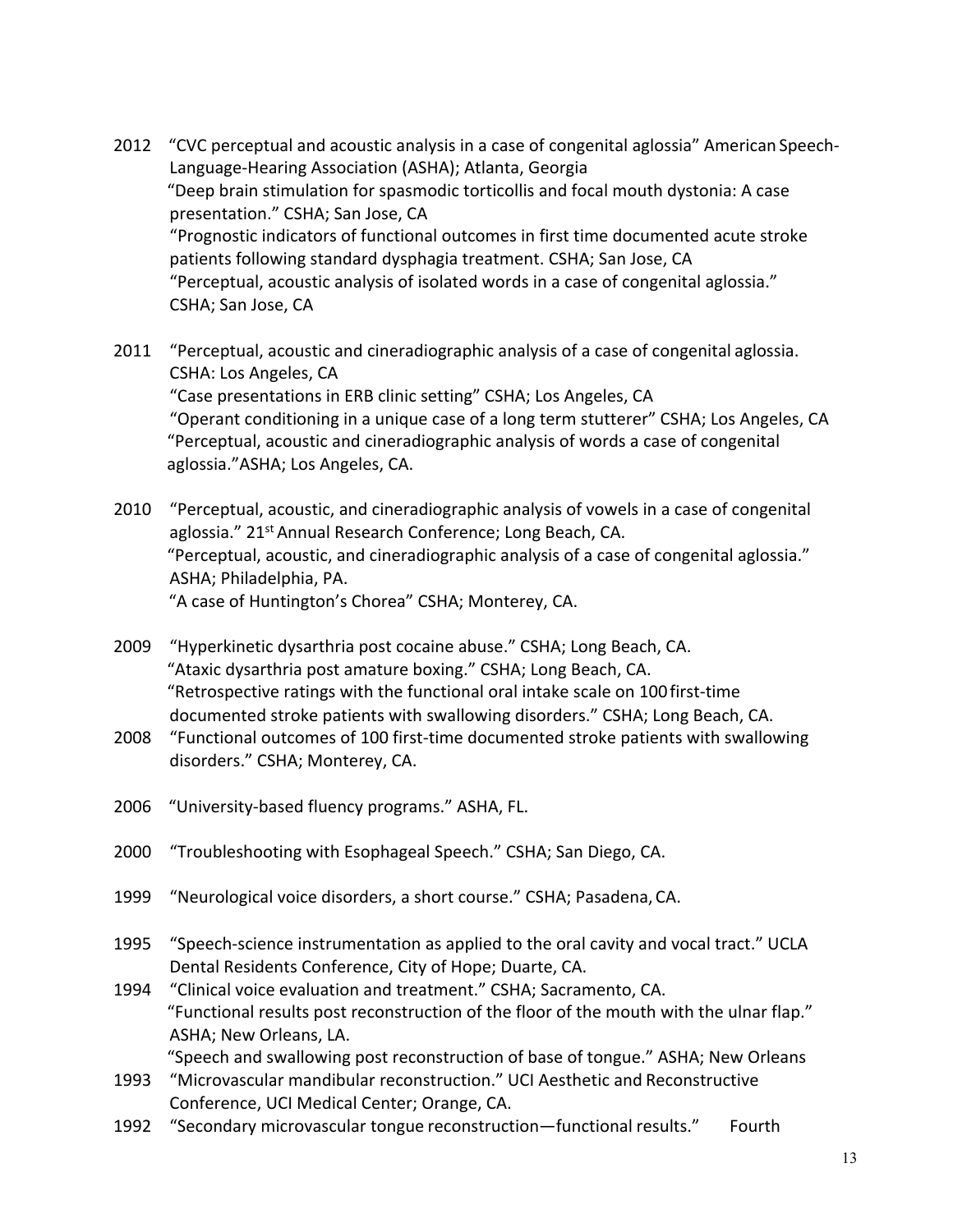- 2012 "CVC perceptual and acoustic analysis in a case of congenital aglossia" American Speech-Language-Hearing Association (ASHA); Atlanta, Georgia "Deep brain stimulation for spasmodic torticollis and focal mouth dystonia: A case presentation." CSHA; San Jose, CA "Prognostic indicators of functional outcomes in first time documented acute stroke patients following standard dysphagia treatment. CSHA; San Jose, CA "Perceptual, acoustic analysis of isolated words in a case of congenital aglossia." CSHA; San Jose, CA
- 2011 "Perceptual, acoustic and cineradiographic analysis of a case of congenital aglossia. CSHA: Los Angeles, CA "Case presentations in ERB clinic setting" CSHA; Los Angeles, CA "Operant conditioning in a unique case of a long term stutterer" CSHA; Los Angeles, CA "Perceptual, acoustic and cineradiographic analysis of words a case of congenital aglossia."ASHA; Los Angeles, CA.
- 2010 "Perceptual, acoustic, and cineradiographic analysis of vowels in a case of congenital aglossia." 21<sup>st</sup> Annual Research Conference; Long Beach, CA. "Perceptual, acoustic, and cineradiographic analysis of a case of congenital aglossia." ASHA; Philadelphia, PA. "A case of Huntington's Chorea" CSHA; Monterey, CA.
- 2009 "Hyperkinetic dysarthria post cocaine abuse." CSHA; Long Beach, CA. "Ataxic dysarthria post amature boxing." CSHA; Long Beach, CA. "Retrospective ratings with the functional oral intake scale on 100first-time documented stroke patients with swallowing disorders." CSHA; Long Beach, CA.
- 2008 "Functional outcomes of 100 first-time documented stroke patients with swallowing disorders." CSHA; Monterey, CA.
- 2006 "University-based fluency programs." ASHA, FL.
- 2000 "Troubleshooting with Esophageal Speech." CSHA; San Diego, CA.
- 1999 "Neurological voice disorders, a short course." CSHA; Pasadena, CA.
- 1995 "Speech-science instrumentation as applied to the oral cavity and vocal tract." UCLA Dental Residents Conference, City of Hope; Duarte, CA.
- 1994 "Clinical voice evaluation and treatment." CSHA; Sacramento, CA. "Functional results post reconstruction of the floor of the mouth with the ulnar flap." ASHA; New Orleans, LA. "Speech and swallowing post reconstruction of base of tongue." ASHA; New Orleans
- 1993 "Microvascular mandibular reconstruction." UCI Aesthetic and Reconstructive Conference, UCI Medical Center; Orange, CA.
- 1992 "Secondary microvascular tongue reconstruction—functional results." Fourth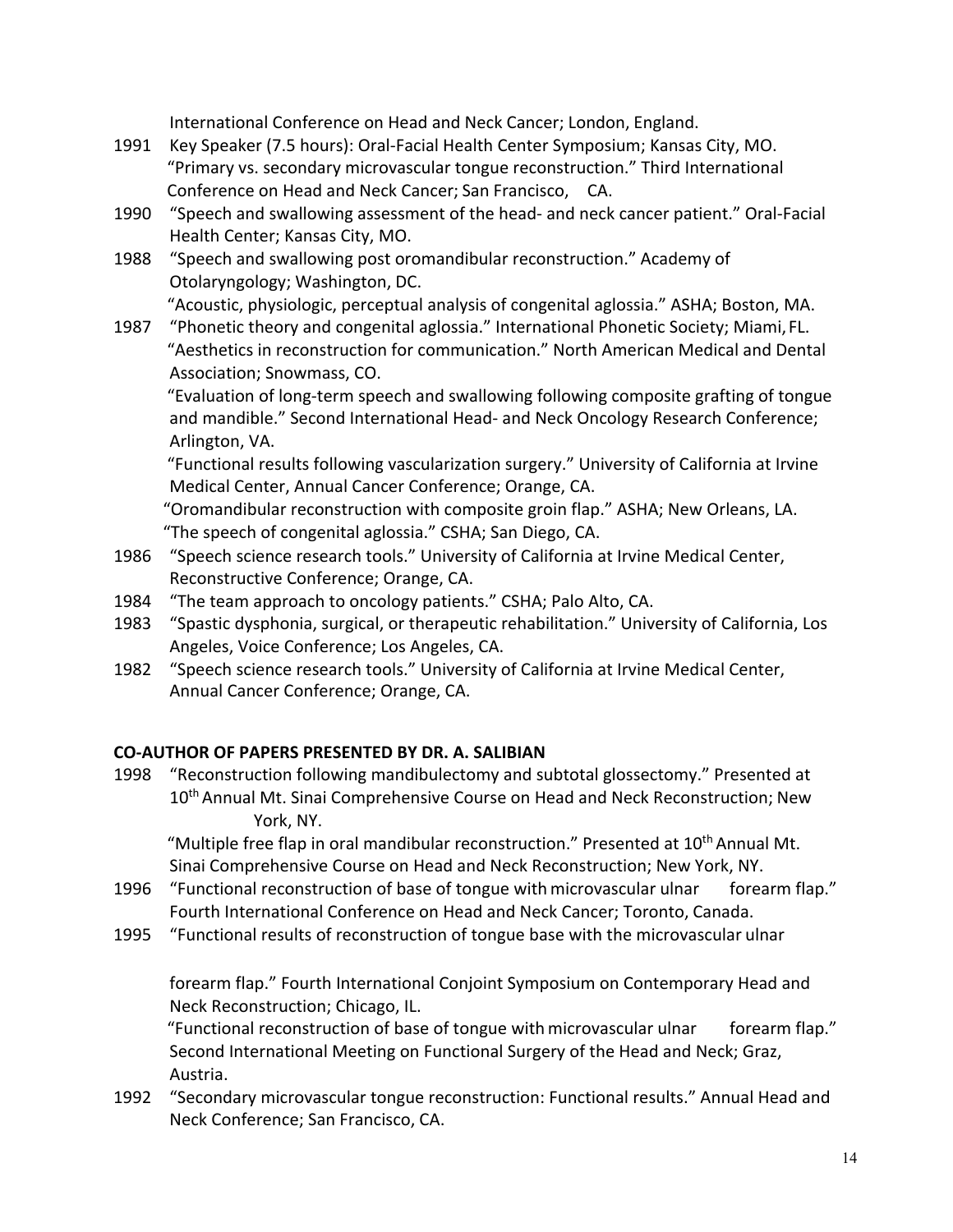International Conference on Head and Neck Cancer; London, England.

- 1991 Key Speaker (7.5 hours): Oral-Facial Health Center Symposium; Kansas City, MO. "Primary vs. secondary microvascular tongue reconstruction." Third International Conference on Head and Neck Cancer; San Francisco, CA.
- 1990 "Speech and swallowing assessment of the head- and neck cancer patient." Oral-Facial Health Center; Kansas City, MO.
- 1988 "Speech and swallowing post oromandibular reconstruction." Academy of Otolaryngology; Washington, DC.

"Acoustic, physiologic, perceptual analysis of congenital aglossia." ASHA; Boston, MA.

1987 "Phonetic theory and congenital aglossia." International Phonetic Society; Miami, FL. "Aesthetics in reconstruction for communication." North American Medical and Dental Association; Snowmass, CO.

"Evaluation of long-term speech and swallowing following composite grafting of tongue and mandible." Second International Head- and Neck Oncology Research Conference; Arlington, VA.

"Functional results following vascularization surgery." University of California at Irvine Medical Center, Annual Cancer Conference; Orange, CA.

"Oromandibular reconstruction with composite groin flap." ASHA; New Orleans, LA. "The speech of congenital aglossia." CSHA; San Diego, CA.

- 1986 "Speech science research tools." University of California at Irvine Medical Center, Reconstructive Conference; Orange, CA.
- 1984 "The team approach to oncology patients." CSHA; Palo Alto, CA.
- 1983 "Spastic dysphonia, surgical, or therapeutic rehabilitation." University of California, Los Angeles, Voice Conference; Los Angeles, CA.
- 1982 "Speech science research tools." University of California at Irvine Medical Center, Annual Cancer Conference; Orange, CA.

## **CO-AUTHOR OF PAPERS PRESENTED BY DR. A. SALIBIAN**

1998 "Reconstruction following mandibulectomy and subtotal glossectomy." Presented at 10<sup>th</sup> Annual Mt. Sinai Comprehensive Course on Head and Neck Reconstruction; New York, NY.

"Multiple free flap in oral mandibular reconstruction." Presented at  $10<sup>th</sup>$  Annual Mt. Sinai Comprehensive Course on Head and Neck Reconstruction; New York, NY.

- 1996 "Functional reconstruction of base of tongue with microvascular ulnar forearm flap." Fourth International Conference on Head and Neck Cancer; Toronto, Canada.
- 1995 "Functional results of reconstruction of tongue base with the microvascular ulnar

forearm flap." Fourth International Conjoint Symposium on Contemporary Head and Neck Reconstruction; Chicago, IL.

"Functional reconstruction of base of tongue withmicrovascular ulnar forearm flap." Second International Meeting on Functional Surgery of the Head and Neck; Graz, Austria.

1992 "Secondary microvascular tongue reconstruction: Functional results." Annual Head and Neck Conference; San Francisco, CA.